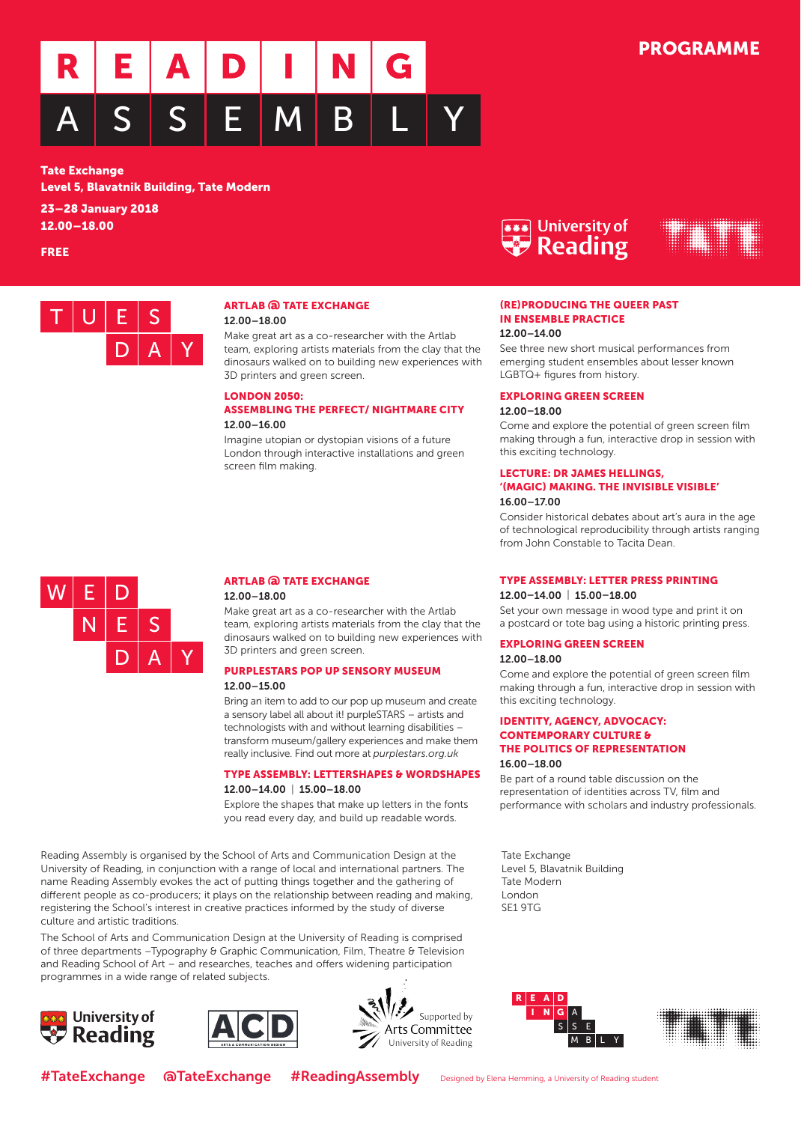

#### Tate Exchange

Level 5, Blavatnik Building, Tate Modern

23 – 28 January 2018 12.00 – 18.00

FREE



## ARTLAB @ TATE EXCHANGE 12.00 –18.00

Make great art as a co-researcher with the Artlab team, exploring artists materials from the clay that the dinosaurs walked on to building new experiences with 3D printers and green screen.

## LONDON 2050: ASSEMBLING THE PERFECT/ NIGHTMARE CITY

## 12.00–16.00

Imagine utopian or dystopian visions of a future London through interactive installations and green screen film making.





## (RE)PRODUCING THE QUEER PAST IN ENSEMBLE PRACTICE

## 12.00–14.00

See three new short musical performances from emerging student ensembles about lesser known LGBTQ+ figures from history.

## EXPLORING GREEN SCREEN

## 12.00–18.00

Come and explore the potential of green screen film making through a fun, interactive drop in session with this exciting technology.

#### LECTURE: DR JAMES HELLINGS, '(MAGIC) MAKING. THE INVISIBLE VISIBLE' 16.00–17.00

Consider historical debates about art's aura in the age of technological reproducibility through artists ranging from John Constable to Tacita Dean.

#### TYPE ASSEMBLY: LETTER PRESS PRINTING

#### 12.00–14.00 | 15.00–18.00

Set your own message in wood type and print it on a postcard or tote bag using a historic printing press.

#### EXPLORING GREEN SCREEN

## 12.00–18.00

Come and explore the potential of green screen film making through a fun, interactive drop in session with this exciting technology.

### IDENTITY, AGENCY, ADVOCACY: CONTEMPORARY CULTURE & THE POLITICS OF REPRESENTATION16.00–18.00

Be part of a round table discussion on the representation of identities across TV, film and performance with scholars and industry professionals.

Tate Exchange Level 5, Blavatnik Building Tate ModernLondonSE1 9TG



#### ARTLAB @ TATE EXCHANGE12.00–18.00

Make great art as a co-researcher with the Artlab team, exploring artists materials from the clay that the dinosaurs walked on to building new experiences with 3D printers and green screen.

#### PURPLESTARS POP UP SENSORY MUSEUM12.00–15.00

Bring an item to add to our pop up museum and create a sensory label all about it! purpleSTARS – artists and technologists with and without learning disabilities – transform museum/gallery experiences and make them really inclusive. Find out more at *purplestars.org.uk*

## TYPE ASSEMBLY: LETTERSHAPES & WORDSHAPES12.00–14.00 | 15.00–18.00

Explore the shapes that make up letters in the fonts you read every day, and build up readable words.

Reading Assembly is organised by the School of Arts and Communication Design at the University of Reading, in conjunction with a range of local and international partners. The name Reading Assembly evokes the act of putting things together and the gathering of different people as co-producers; it plays on the relationship between reading and making, registering the School's interest in creative practices informed by the study of diverse culture and artistic traditions.

The School of Arts and Communication Design at the University of Reading is comprised of three departments –Typography & Graphic Communication, Film, Theatre & Television and Reading School of Art – and researches, teaches and offers widening participation programmes in a wide range of related subjects.







AS S EMM B L Y N $N|G$ RR E A D